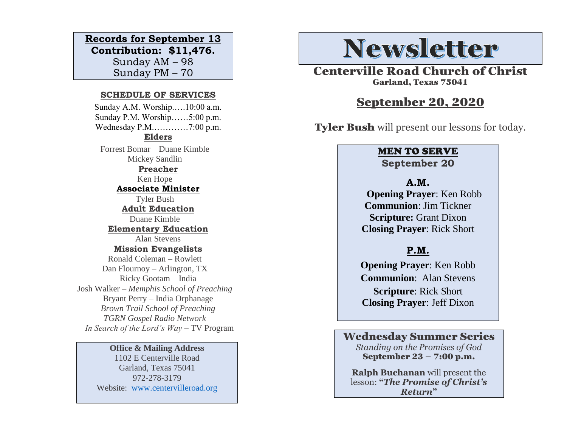#### **Records for September 13**

**Contribution: \$11,476.** Sunday AM – 98 Sunday PM – 70

#### **SCHEDULE OF SERVICES**

 Sunday A.M. Worship.….10:00 a.m. Sunday P.M. Worship……5:00 p.m. Wednesday P.M.…………7:00 p.m. **Elders** Forrest Bomar Duane Kimble Mickey Sandlin **Preacher** Ken Hope **Associate Minister** Tyler Bush **Adult Education** Duane Kimble **Elementary Education** Alan Stevens **Mission Evangelists** Ronald Coleman – Rowlett Dan Flournoy – Arlington, TX Ricky Gootam – India Josh Walker – *Memphis School of Preaching* Bryant Perry – India Orphanage *Brown Trail School of Preaching TGRN Gospel Radio Network In Search of the Lord's Way* – TV Program

> **Office & Mailing Address** 1102 E Centerville Road Garland, Texas 75041 972-278-3179 Website: [www.centervilleroad.org](https://d.docs.live.net/97e199c461b763eb/Newsletter/News%202020/August%202020/www.centervilleroad.org)

# **Newsletter**

Centerville Road Church of Christ Garland, Texas 75041

#### September 20, 2020

Tyler Bush will present our lessons for today.

#### MEN TO SERVE **September 20**

**A.M. Opening Prayer**: Ken Robb **Communion**: Jim Tickner **Scripture:** Grant Dixon **Closing Prayer**: Rick Short

#### **P.M.**

**Opening Prayer**: Ken Robb **Communion**: Alan Stevens **Scripture**: Rick Short **Closing Prayer**: Jeff Dixon

#### Wednesday Summer Series

*Standing on the Promises of God* September 23 – 7:00 p.m.

**Ralph Buchanan** will present the lesson: **"***The Promise of Christ's Return***"**